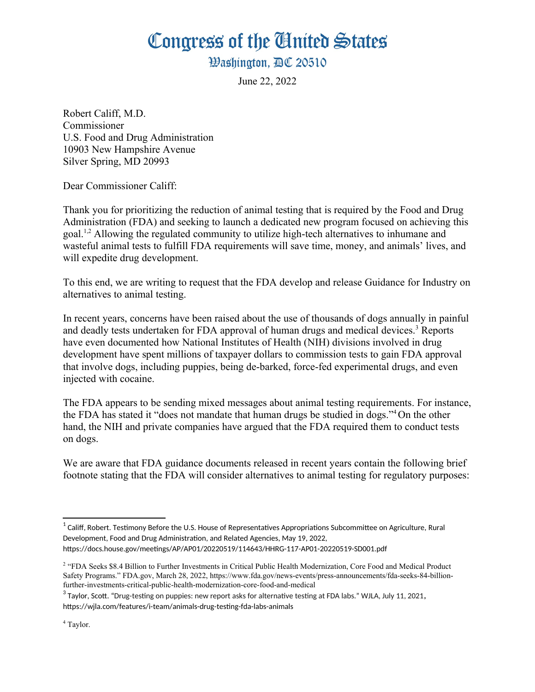## Congress of the Ginited States

**Washington. AC 20510** 

<span id="page-0-4"></span>June 22, 2022

Robert Califf, M.D. Commissioner U.S. Food and Drug Administration 10903 New Hampshire Avenue Silver Spring, MD 20993

Dear Commissioner Califf:

<span id="page-0-2"></span><span id="page-0-0"></span>Thank you for prioritizing the reduction of animal testing that is required by the Food and Drug Administration (FDA) and seeking to launch a dedicated new program focused on achieving this goal.[1](#page-0-1)[,2](#page-0-3) Allowing the regulated community to utilize high-tech alternatives to inhumane and wasteful animal tests to fulfill FDA requirements will save time, money, and animals' lives, and will expedite drug development.

To this end, we are writing to request that the FDA develop and release Guidance for Industry on alternatives to animal testing.

In recent years, concerns have been raised about the use of thousands of dogs annually in painful and deadly tests undertaken for FDA approval of human drugs and medical devices.<sup>[3](#page-0-5)</sup> Reports have even documented how National Institutes of Health (NIH) divisions involved in drug development have spent millions of taxpayer dollars to commission tests to gain FDA approval that involve dogs, including puppies, being de-barked, force-fed experimental drugs, and even injected with cocaine.

<span id="page-0-6"></span>The FDA appears to be sending mixed messages about animal testing requirements. For instance, the FDA has stated it "does not mandate that human drugs be studied in dogs."[4](#page-0-7)On the other hand, the NIH and private companies have argued that the FDA required them to conduct tests on dogs.

We are aware that FDA guidance documents released in recent years contain the following brief footnote stating that the FDA will consider alternatives to animal testing for regulatory purposes:

<span id="page-0-5"></span>[3](#page-0-4) Taylor, Scott. "Drug-testing on puppies: new report asks for alternative testing at FDA labs." WJLA, July 11, 2021**,**

<span id="page-0-7"></span>https://wjla.com/features/i-team/animals-drug-testing-fda-labs-animals

<span id="page-0-1"></span> $^{\rm 1}$  $^{\rm 1}$  $^{\rm 1}$  Califf. Robert. Testimony Before the U.S. House of Representatives Appropriations Subcommittee on Agriculture. Rural Development, Food and Drug Administration, and Related Agencies, May 19, 2022, https://docs.house.gov/meetings/AP/AP01/20220519/114643/HHRG-117-AP01-20220519-SD001.pdf

<span id="page-0-3"></span><sup>&</sup>lt;sup>[2](#page-0-2)</sup> "FDA Seeks \$8.4 Billion to Further Investments in Critical Public Health Modernization. Core Food and Medical Product Safety Programs." FDA.gov, March 28, 2022, https://www.fda.gov/news-events/press-announcements/fda-seeks-84-billionfurther-investments-critical-public-health-modernization-core-food-and-medical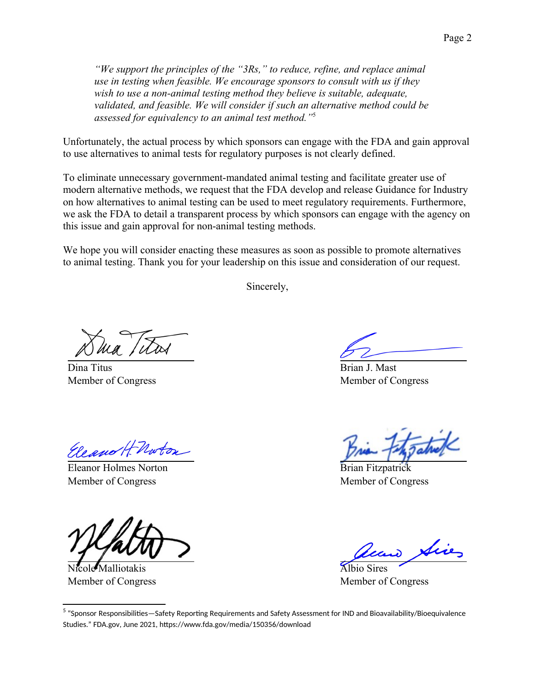*"We support the principles of the "3Rs," to reduce, refine, and replace animal use in testing when feasible. We encourage sponsors to consult with us if they*  wish to use a non-animal testing method they believe is suitable, adequate, *validated, and feasible. We will consider if such an alternative method could be assessed for equivalency to an animal test method."*[5](#page-1-1)

Unfortunately, the actual process by which sponsors can engage with the FDA and gain approval to use alternatives to animal tests for regulatory purposes is not clearly defined.

To eliminate unnecessary government-mandated animal testing and facilitate greater use of modern alternative methods, we request that the FDA develop and release Guidance for Industry on how alternatives to animal testing can be used to meet regulatory requirements. Furthermore, we ask the FDA to detail a transparent process by which sponsors can engage with the agency on this issue and gain approval for non-animal testing methods.

We hope you will consider enacting these measures as soon as possible to promote alternatives to animal testing. Thank you for your leadership on this issue and consideration of our request.

<span id="page-1-0"></span>Sincerely,

Dina Titus Member of Congress

Brian J. Mast Member of Congress

Eleano H. Norton

Eleanor Holmes Norton Member of Congress

Nicole Malliotakis Member of Congress

Brian Fitzpatrick Member of Congress

Albio Sires Member of Congress

<span id="page-1-1"></span><sup>&</sup>lt;sup>[5](#page-1-0)</sup> "Sponsor Responsibilities—Safety Reporting Requirements and Safety Assessment for IND and Bioavailability/Bioequivalence Studies." FDA.gov, June 2021, https://www.fda.gov/media/150356/download